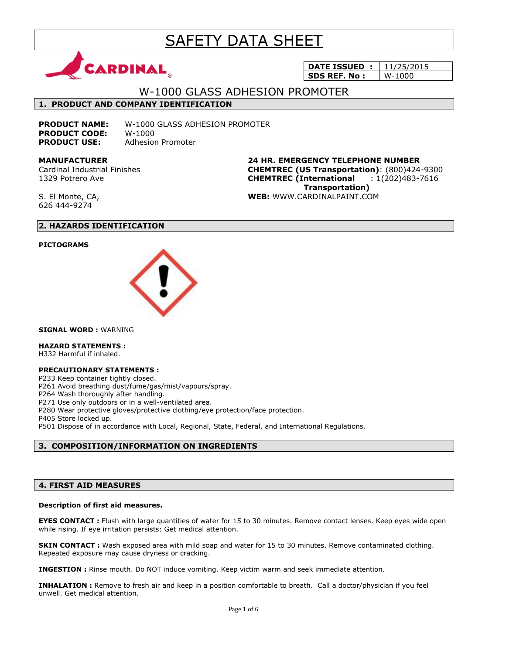# SAFETY DATA SHEET



**DATE ISSUED :** 11/25/2015 **SDS REF. No :** | W-1000

# W-1000 GLASS ADHESION PROMOTER

# **1. PRODUCT AND COMPANY IDENTIFICATION**

**PRODUCT NAME:** W-1000 GLASS ADHESION PROMOTER **PRODUCT CODE:** W-1000 **PRODUCT USE:** Adhesion Promoter

**MANUFACTURER** Cardinal Industrial Finishes 1329 Potrero Ave

**24 HR. EMERGENCY TELEPHONE NUMBER CHEMTREC (US Transportation)**: (800)424-9300 **CHEMTREC (International** : 1(202)483-7616  **Transportation) WEB:** WWW.CARDINALPAINT.COM

S. El Monte, CA, 626 444-9274

# **2. HAZARDS IDENTIFICATION**

# **PICTOGRAMS**



**SIGNAL WORD :** WARNING

# **HAZARD STATEMENTS :**

H332 Harmful if inhaled.

### **PRECAUTIONARY STATEMENTS :**

P233 Keep container tightly closed.

P261 Avoid breathing dust/fume/gas/mist/vapours/spray.

P264 Wash thoroughly after handling.

P271 Use only outdoors or in a well-ventilated area.

P280 Wear protective gloves/protective clothing/eye protection/face protection.

P405 Store locked up.

P501 Dispose of in accordance with Local, Regional, State, Federal, and International Regulations.

# **3. COMPOSITION/INFORMATION ON INGREDIENTS**

# **4. FIRST AID MEASURES**

### **Description of first aid measures.**

**EYES CONTACT :** Flush with large quantities of water for 15 to 30 minutes. Remove contact lenses. Keep eyes wide open while rising. If eye irritation persists: Get medical attention.

**SKIN CONTACT :** Wash exposed area with mild soap and water for 15 to 30 minutes. Remove contaminated clothing. Repeated exposure may cause dryness or cracking.

**INGESTION :** Rinse mouth. Do NOT induce vomiting. Keep victim warm and seek immediate attention.

**INHALATION :** Remove to fresh air and keep in a position comfortable to breath. Call a doctor/physician if you feel unwell. Get medical attention.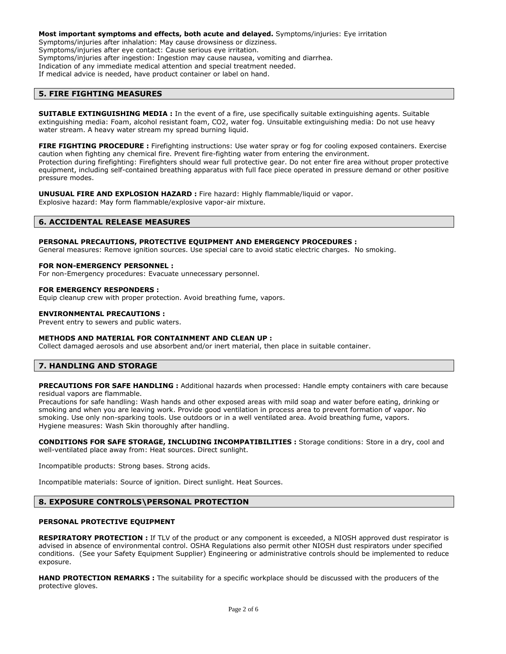#### **Most important symptoms and effects, both acute and delayed.** Symptoms/injuries: Eye irritation

Symptoms/injuries after inhalation: May cause drowsiness or dizziness. Symptoms/injuries after eye contact: Cause serious eye irritation.

Symptoms/injuries after ingestion: Ingestion may cause nausea, vomiting and diarrhea.

Indication of any immediate medical attention and special treatment needed.

If medical advice is needed, have product container or label on hand.

# **5. FIRE FIGHTING MEASURES**

**SUITABLE EXTINGUISHING MEDIA :** In the event of a fire, use specifically suitable extinguishing agents. Suitable extinguishing media: Foam, alcohol resistant foam, CO2, water fog. Unsuitable extinguishing media: Do not use heavy water stream. A heavy water stream my spread burning liquid.

**FIRE FIGHTING PROCEDURE :** Firefighting instructions: Use water spray or fog for cooling exposed containers. Exercise caution when fighting any chemical fire. Prevent fire-fighting water from entering the environment. Protection during firefighting: Firefighters should wear full protective gear. Do not enter fire area without proper protective equipment, including self-contained breathing apparatus with full face piece operated in pressure demand or other positive pressure modes.

**UNUSUAL FIRE AND EXPLOSION HAZARD :** Fire hazard: Highly flammable/liquid or vapor. Explosive hazard: May form flammable/explosive vapor-air mixture.

# **6. ACCIDENTAL RELEASE MEASURES**

### **PERSONAL PRECAUTIONS, PROTECTIVE EQUIPMENT AND EMERGENCY PROCEDURES :**

General measures: Remove ignition sources. Use special care to avoid static electric charges. No smoking.

#### **FOR NON-EMERGENCY PERSONNEL :**

For non-Emergency procedures: Evacuate unnecessary personnel.

#### **FOR EMERGENCY RESPONDERS :**

Equip cleanup crew with proper protection. Avoid breathing fume, vapors.

#### **ENVIRONMENTAL PRECAUTIONS :**

Prevent entry to sewers and public waters.

### **METHODS AND MATERIAL FOR CONTAINMENT AND CLEAN UP :**

Collect damaged aerosols and use absorbent and/or inert material, then place in suitable container.

# **7. HANDLING AND STORAGE**

**PRECAUTIONS FOR SAFE HANDLING :** Additional hazards when processed: Handle empty containers with care because residual vapors are flammable.

Precautions for safe handling: Wash hands and other exposed areas with mild soap and water before eating, drinking or smoking and when you are leaving work. Provide good ventilation in process area to prevent formation of vapor. No smoking. Use only non-sparking tools. Use outdoors or in a well ventilated area. Avoid breathing fume, vapors. Hygiene measures: Wash Skin thoroughly after handling.

**CONDITIONS FOR SAFE STORAGE, INCLUDING INCOMPATIBILITIES :** Storage conditions: Store in a dry, cool and well-ventilated place away from: Heat sources. Direct sunlight.

Incompatible products: Strong bases. Strong acids.

Incompatible materials: Source of ignition. Direct sunlight. Heat Sources.

# **8. EXPOSURE CONTROLS\PERSONAL PROTECTION**

# **PERSONAL PROTECTIVE EQUIPMENT**

**RESPIRATORY PROTECTION :** If TLV of the product or any component is exceeded, a NIOSH approved dust respirator is advised in absence of environmental control. OSHA Regulations also permit other NIOSH dust respirators under specified conditions. (See your Safety Equipment Supplier) Engineering or administrative controls should be implemented to reduce exposure.

**HAND PROTECTION REMARKS :** The suitability for a specific workplace should be discussed with the producers of the protective gloves.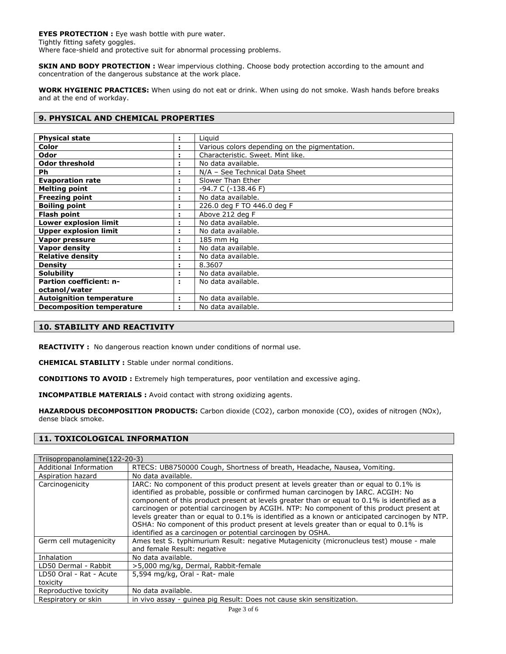**EYES PROTECTION :** Eye wash bottle with pure water. Tightly fitting safety goggles. Where face-shield and protective suit for abnormal processing problems.

**SKIN AND BODY PROTECTION :** Wear impervious clothing. Choose body protection according to the amount and concentration of the dangerous substance at the work place.

**WORK HYGIENIC PRACTICES:** When using do not eat or drink. When using do not smoke. Wash hands before breaks and at the end of workday.

# **9. PHYSICAL AND CHEMICAL PROPERTIES**

| <b>Physical state</b>            |   | Liguid                                        |
|----------------------------------|---|-----------------------------------------------|
| Color                            |   | Various colors depending on the pigmentation. |
| Odor                             |   | Characteristic. Sweet. Mint like.             |
| <b>Odor threshold</b>            |   | No data available.                            |
| Ph                               |   | N/A - See Technical Data Sheet                |
| <b>Evaporation rate</b>          |   | Slower Than Ether                             |
| <b>Melting point</b>             |   | -94.7 C (-138.46 F)                           |
| <b>Freezing point</b>            |   | No data available.                            |
| <b>Boiling point</b>             |   | 226.0 deg F TO 446.0 deg F                    |
| <b>Flash point</b>               |   | Above 212 deg F                               |
| <b>Lower explosion limit</b>     |   | No data available.                            |
| <b>Upper explosion limit</b>     |   | No data available.                            |
| Vapor pressure                   |   | 185 mm Hq                                     |
| <b>Vapor density</b>             |   | No data available.                            |
| <b>Relative density</b>          |   | No data available.                            |
| <b>Density</b>                   | ٠ | 8.3607                                        |
| <b>Solubility</b>                |   | No data available.                            |
| <b>Partion coefficient: n-</b>   | ÷ | No data available.                            |
| octanol/water                    |   |                                               |
| <b>Autoignition temperature</b>  |   | No data available.                            |
| <b>Decomposition temperature</b> |   | No data available.                            |

# **10. STABILITY AND REACTIVITY**

**REACTIVITY :** No dangerous reaction known under conditions of normal use.

**CHEMICAL STABILITY :** Stable under normal conditions.

**CONDITIONS TO AVOID :** Extremely high temperatures, poor ventilation and excessive aging.

**INCOMPATIBLE MATERIALS :** Avoid contact with strong oxidizing agents.

**HAZARDOUS DECOMPOSITION PRODUCTS:** Carbon dioxide (CO2), carbon monoxide (CO), oxides of nitrogen (NOx), dense black smoke.

# **11. TOXICOLOGICAL INFORMATION**

| Triisopropanolamine (122-20-3) |                                                                                                                                                                                                                                                                                                                                                                                                                                                                                                                                                                                                                                    |
|--------------------------------|------------------------------------------------------------------------------------------------------------------------------------------------------------------------------------------------------------------------------------------------------------------------------------------------------------------------------------------------------------------------------------------------------------------------------------------------------------------------------------------------------------------------------------------------------------------------------------------------------------------------------------|
| Additional Information         | RTECS: UB8750000 Cough, Shortness of breath, Headache, Nausea, Vomiting.                                                                                                                                                                                                                                                                                                                                                                                                                                                                                                                                                           |
| Aspiration hazard              | No data available.                                                                                                                                                                                                                                                                                                                                                                                                                                                                                                                                                                                                                 |
| Carcinogenicity                | IARC: No component of this product present at levels greater than or equal to 0.1% is<br>identified as probable, possible or confirmed human carcinogen by IARC. ACGIH: No<br>component of this product present at levels greater than or equal to 0.1% is identified as a<br>carcinogen or potential carcinogen by ACGIH. NTP: No component of this product present at<br>levels greater than or equal to 0.1% is identified as a known or anticipated carcinogen by NTP.<br>OSHA: No component of this product present at levels greater than or equal to 0.1% is<br>identified as a carcinogen or potential carcinogen by OSHA. |
| Germ cell mutagenicity         | Ames test S. typhimurium Result: negative Mutagenicity (micronucleus test) mouse - male<br>and female Result: negative                                                                                                                                                                                                                                                                                                                                                                                                                                                                                                             |
| Inhalation                     | No data available.                                                                                                                                                                                                                                                                                                                                                                                                                                                                                                                                                                                                                 |
| LD50 Dermal - Rabbit           | >5,000 mg/kg, Dermal, Rabbit-female                                                                                                                                                                                                                                                                                                                                                                                                                                                                                                                                                                                                |
| LD50 Oral - Rat - Acute        | 5,594 mg/kg, Oral - Rat- male                                                                                                                                                                                                                                                                                                                                                                                                                                                                                                                                                                                                      |
| toxicity                       |                                                                                                                                                                                                                                                                                                                                                                                                                                                                                                                                                                                                                                    |
| Reproductive toxicity          | No data available.                                                                                                                                                                                                                                                                                                                                                                                                                                                                                                                                                                                                                 |
| Respiratory or skin            | in vivo assay - quinea pig Result: Does not cause skin sensitization.                                                                                                                                                                                                                                                                                                                                                                                                                                                                                                                                                              |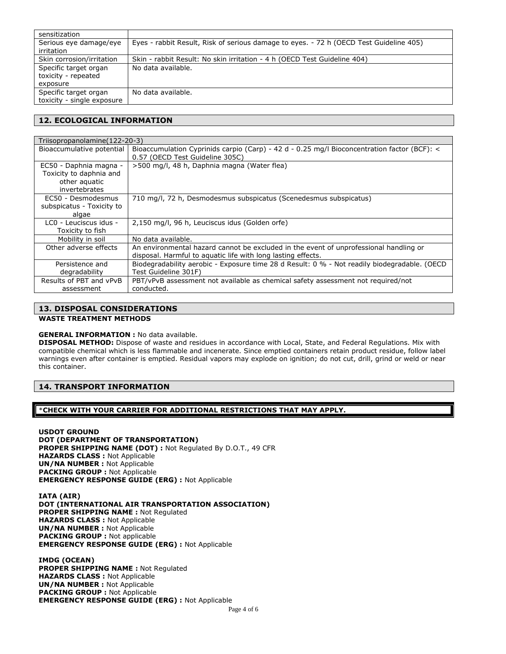| sensitization                                            |                                                                                        |
|----------------------------------------------------------|----------------------------------------------------------------------------------------|
| Serious eye damage/eye<br>irritation                     | Eyes - rabbit Result, Risk of serious damage to eyes. - 72 h (OECD Test Guideline 405) |
| Skin corrosion/irritation                                | Skin - rabbit Result: No skin irritation - 4 h (OECD Test Guideline 404)               |
| Specific target organ<br>toxicity - repeated<br>exposure | No data available.                                                                     |
| Specific target organ                                    | No data available.                                                                     |
| toxicity - single exposure                               |                                                                                        |

# **12. ECOLOGICAL INFORMATION**

| Triisopropanolamine (122-20-3)                                                      |                                                                                                                                                       |  |
|-------------------------------------------------------------------------------------|-------------------------------------------------------------------------------------------------------------------------------------------------------|--|
| Bioaccumulative potential                                                           | Bioaccumulation Cyprinids carpio (Carp) - 42 d - 0.25 mg/l Bioconcentration factor (BCF): <<br>0.57 (OECD Test Guideline 305C)                        |  |
| EC50 - Daphnia magna -<br>Toxicity to daphnia and<br>other aguatic<br>invertebrates | >500 mg/l, 48 h, Daphnia magna (Water flea)                                                                                                           |  |
| EC50 - Desmodesmus<br>subspicatus - Toxicity to<br>algae                            | 710 mg/l, 72 h, Desmodesmus subspicatus (Scenedesmus subspicatus)                                                                                     |  |
| LCO - Leuciscus idus -<br>Toxicity to fish                                          | 2,150 mg/l, 96 h, Leuciscus idus (Golden orfe)                                                                                                        |  |
| Mobility in soil                                                                    | No data available.                                                                                                                                    |  |
| Other adverse effects                                                               | An environmental hazard cannot be excluded in the event of unprofessional handling or<br>disposal. Harmful to aquatic life with long lasting effects. |  |
| Persistence and<br>degradability                                                    | Biodegradability aerobic - Exposure time 28 d Result: 0 % - Not readily biodegradable. (OECD<br>Test Guideline 301F)                                  |  |
| Results of PBT and vPvB<br>assessment                                               | PBT/vPvB assessment not available as chemical safety assessment not required/not<br>conducted.                                                        |  |

# **13. DISPOSAL CONSIDERATIONS**

# **WASTE TREATMENT METHODS**

# **GENERAL INFORMATION : No data available.**

**DISPOSAL METHOD:** Dispose of waste and residues in accordance with Local, State, and Federal Regulations. Mix with compatible chemical which is less flammable and incenerate. Since emptied containers retain product residue, follow label warnings even after container is emptied. Residual vapors may explode on ignition; do not cut, drill, grind or weld or near this container.

# **14. TRANSPORT INFORMATION**

# \***CHECK WITH YOUR CARRIER FOR ADDITIONAL RESTRICTIONS THAT MAY APPLY.**

**USDOT GROUND DOT (DEPARTMENT OF TRANSPORTATION) PROPER SHIPPING NAME (DOT) :** Not Regulated By D.O.T., 49 CFR **HAZARDS CLASS :** Not Applicable **UN/NA NUMBER :** Not Applicable **PACKING GROUP :** Not Applicable **EMERGENCY RESPONSE GUIDE (ERG) :** Not Applicable

**IATA (AIR) DOT (INTERNATIONAL AIR TRANSPORTATION ASSOCIATION) PROPER SHIPPING NAME :** Not Regulated **HAZARDS CLASS :** Not Applicable **UN/NA NUMBER :** Not Applicable **PACKING GROUP :** Not applicable **EMERGENCY RESPONSE GUIDE (ERG) :** Not Applicable

**IMDG (OCEAN) PROPER SHIPPING NAME :** Not Regulated **HAZARDS CLASS :** Not Applicable **UN/NA NUMBER :** Not Applicable **PACKING GROUP :** Not Applicable **EMERGENCY RESPONSE GUIDE (ERG) :** Not Applicable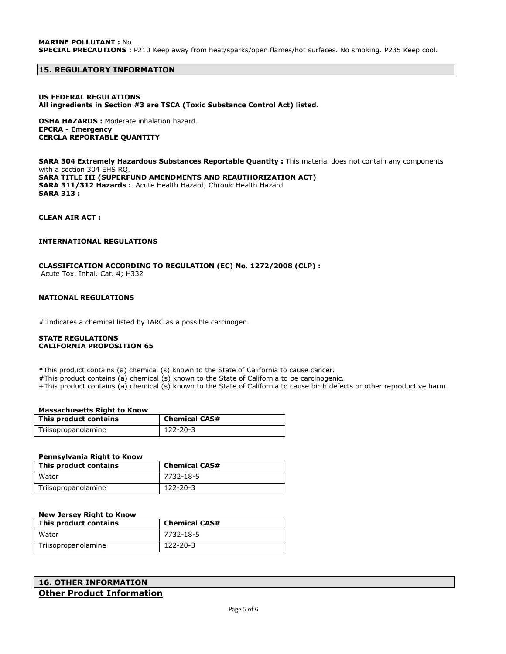# **15. REGULATORY INFORMATION**

## **US FEDERAL REGULATIONS All ingredients in Section #3 are TSCA (Toxic Substance Control Act) listed.**

**OSHA HAZARDS :** Moderate inhalation hazard. **EPCRA - Emergency CERCLA REPORTABLE QUANTITY**

**SARA 304 Extremely Hazardous Substances Reportable Quantity :** This material does not contain any components with a section 304 EHS RQ. **SARA TITLE III (SUPERFUND AMENDMENTS AND REAUTHORIZATION ACT) SARA 311/312 Hazards :** Acute Health Hazard, Chronic Health Hazard **SARA 313 :**

**CLEAN AIR ACT :** 

### **INTERNATIONAL REGULATIONS**

# **CLASSIFICATION ACCORDING TO REGULATION (EC) No. 1272/2008 (CLP) :**

Acute Tox. Inhal. Cat. 4; H332

# **NATIONAL REGULATIONS**

# Indicates a chemical listed by IARC as a possible carcinogen.

### **STATE REGULATIONS CALIFORNIA PROPOSITION 65**

**\***This product contains (a) chemical (s) known to the State of California to cause cancer.

#This product contains (a) chemical (s) known to the State of California to be carcinogenic.

+This product contains (a) chemical (s) known to the State of California to cause birth defects or other reproductive harm.

# **Massachusetts Right to Know**

| This product contains | <b>Chemical CAS#</b> |
|-----------------------|----------------------|
| Triisopropanolamine   | 122-20-3             |

### **Pennsylvania Right to Know**

| This product contains | <b>Chemical CAS#</b> |
|-----------------------|----------------------|
| Water                 | 7732-18-5            |
| Triisopropanolamine   | $122 - 20 - 3$       |

### **New Jersey Right to Know**

| This product contains | <b>Chemical CAS#</b> |
|-----------------------|----------------------|
| Water                 | 7732-18-5            |
| Triisopropanolamine   | 122-20-3             |

```
16. OTHER INFORMATION
Other Product Information
```